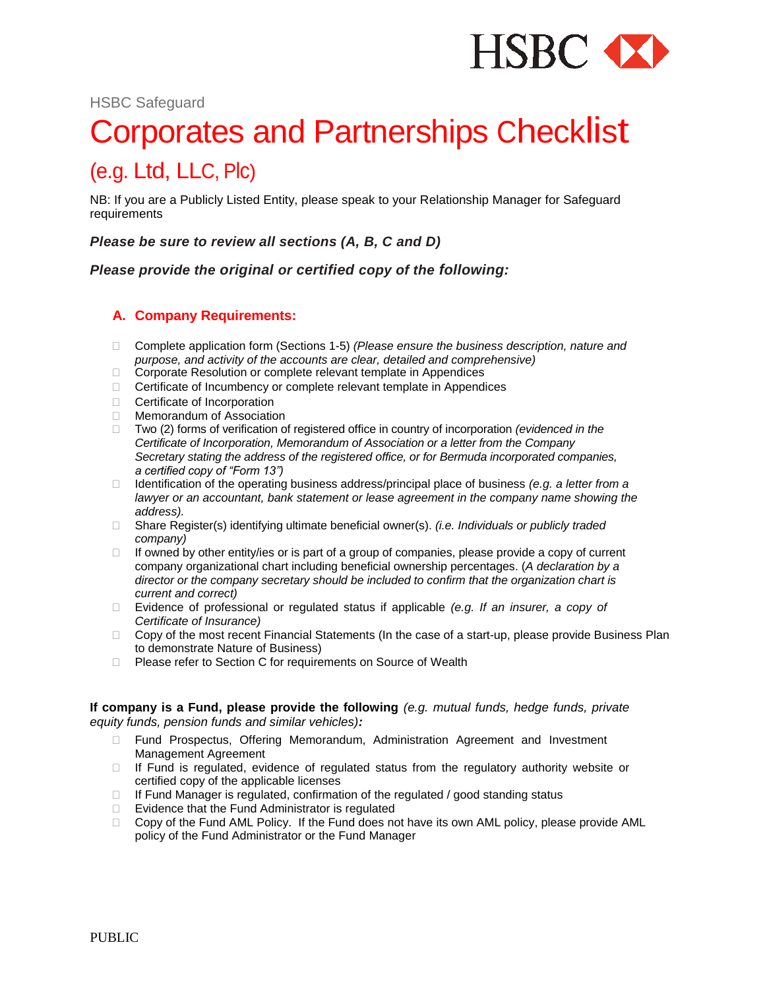

HSBC Safeguard

# Corporates and Partnerships <sup>C</sup>hecklist

# (e.g. Ltd, LLC, Plc)

NB: If you are a Publicly Listed Entity, please speak to your Relationship Manager for Safeguard requirements

*Please be sure to review all sections (A, B, C and D)*

*Please provide the original or certified copy of the following:*

# **A. Company Requirements:**

- Complete application form (Sections 1-5) *(Please ensure the business description, nature and purpose, and activity of the accounts are clear, detailed and comprehensive)*
- □ Corporate Resolution or complete relevant template in Appendices
- □ Certificate of Incumbency or complete relevant template in Appendices
- □ Certificate of Incorporation
- Memorandum of Association
- □ Two (2) forms of verification of registered office in country of incorporation *(evidenced in the Certificate of Incorporation, Memorandum of Association or a letter from the Company Secretary stating the address of the registered office, or for Bermuda incorporated companies, a certified copy of "Form 13")*
- □ Identification of the operating business address/principal place of business *(e.g. a letter from a lawyer or an accountant, bank statement or lease agreement in the company name showing the address).*
- Share Register(s) identifying ultimate beneficial owner(s). *(i.e. Individuals or publicly traded company)*
- $\Box$  If owned by other entity/ies or is part of a group of companies, please provide a copy of current company organizational chart including beneficial ownership percentages. (*A declaration by a director or the company secretary should be included to confirm that the organization chart is current and correct)*
- Evidence of professional or regulated status if applicable *(e.g. If an insurer, a copy of Certificate of Insurance)*
- $\Box$  Copy of the most recent Financial Statements (In the case of a start-up, please provide Business Plan to demonstrate Nature of Business)
- □ Please refer to Section C for requirements on Source of Wealth

**If company is a Fund, please provide the following** *(e.g. mutual funds, hedge funds, private equity funds, pension funds and similar vehicles):*

- Fund Prospectus, Offering Memorandum, Administration Agreement and Investment Management Agreement
- $\Box$  If Fund is regulated, evidence of regulated status from the regulatory authority website or certified copy of the applicable licenses
- $\Box$  If Fund Manager is regulated, confirmation of the regulated / good standing status
- $\Box$  Evidence that the Fund Administrator is regulated
- $\Box$  Copy of the Fund AML Policy. If the Fund does not have its own AML policy, please provide AML policy of the Fund Administrator or the Fund Manager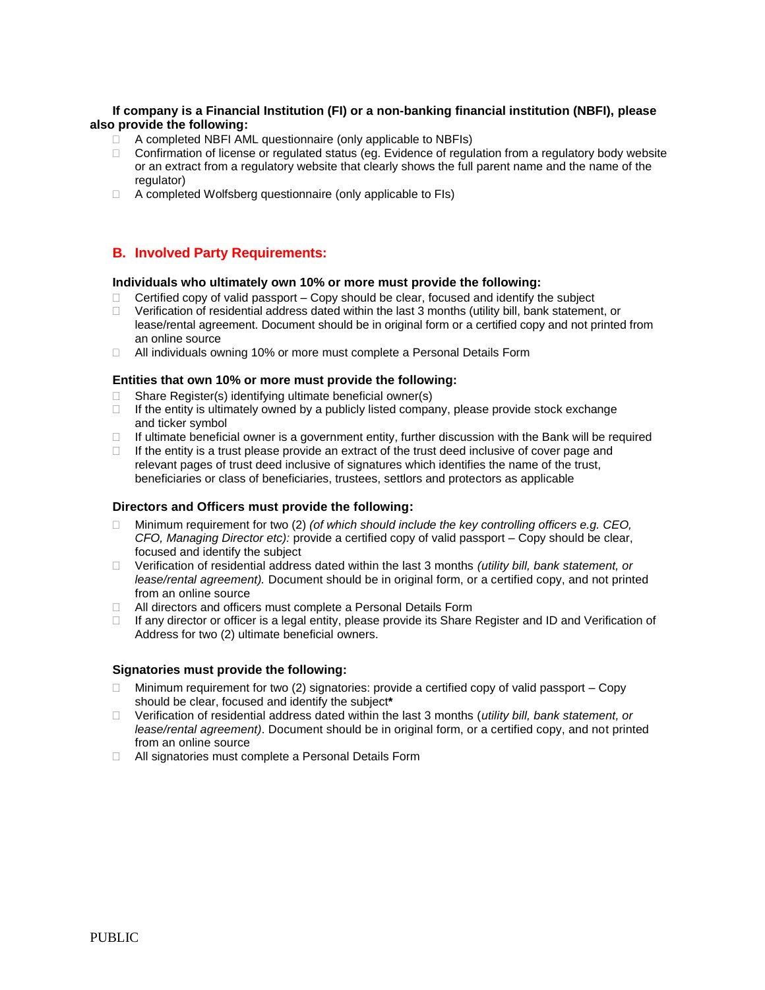#### **If company is a Financial Institution (FI) or a non-banking financial institution (NBFI), please also provide the following:**

- $\Box$  A completed NBFI AML questionnaire (only applicable to NBFIs)
- $\Box$  Confirmation of license or regulated status (eg. Evidence of regulation from a regulatory body website or an extract from a regulatory website that clearly shows the full parent name and the name of the regulator)
- $\Box$  A completed Wolfsberg questionnaire (only applicable to FIs)

# **B. Involved Party Requirements:**

#### **Individuals who ultimately own 10% or more must provide the following:**

- $\Box$  Certified copy of valid passport Copy should be clear, focused and identify the subject
- $\Box$  Verification of residential address dated within the last 3 months (utility bill, bank statement, or lease/rental agreement. Document should be in original form or a certified copy and not printed from an online source
- □ All individuals owning 10% or more must complete a Personal Details Form

#### **Entities that own 10% or more must provide the following:**

- $\Box$  Share Register(s) identifying ultimate beneficial owner(s)
- $\Box$  If the entity is ultimately owned by a publicly listed company, please provide stock exchange and ticker symbol
- $\Box$  If ultimate beneficial owner is a government entity, further discussion with the Bank will be required
- $\Box$  If the entity is a trust please provide an extract of the trust deed inclusive of cover page and relevant pages of trust deed inclusive of signatures which identifies the name of the trust, beneficiaries or class of beneficiaries, trustees, settlors and protectors as applicable

#### **Directors and Officers must provide the following:**

- Minimum requirement for two (2) *(of which should include the key controlling officers e.g. CEO, CFO, Managing Director etc):* provide a certified copy of valid passport – Copy should be clear, focused and identify the subject
- Verification of residential address dated within the last 3 months *(utility bill, bank statement, or lease/rental agreement).* Document should be in original form, or a certified copy, and not printed from an online source
- □ All directors and officers must complete a Personal Details Form
- $\Box$  If any director or officer is a legal entity, please provide its Share Register and ID and Verification of Address for two (2) ultimate beneficial owners.

#### **Signatories must provide the following:**

- $\Box$  Minimum requirement for two (2) signatories: provide a certified copy of valid passport Copy should be clear, focused and identify the subject**\***
- Verification of residential address dated within the last 3 months (*utility bill, bank statement, or lease/rental agreement)*. Document should be in original form, or a certified copy, and not printed from an online source
- □ All signatories must complete a Personal Details Form